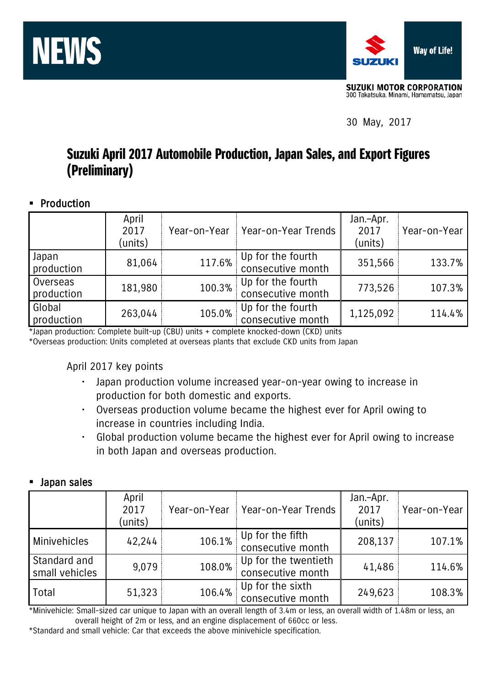



**SUZUKI MOTOR CORPORATION**<br>300 Takatsuka, Minami, Hamamatsu, Japan

30 May, 2017

## Suzuki April 2017 Automobile Production, Japan Sales, and Export Figures (Preliminary)

## Production

|                        | April<br>2017<br>(units) | Year-on-Year | Year-on-Year Trends                    | Jan.-Apr.<br>2017<br>(units) | Year-on-Year |
|------------------------|--------------------------|--------------|----------------------------------------|------------------------------|--------------|
| Japan<br>production    | 81,064                   | 117.6%       | Up for the fourth<br>consecutive month | 351,566                      | 133.7%       |
| Overseas<br>production | 181,980                  | 100.3%       | Up for the fourth<br>consecutive month | 773,526                      | 107.3%       |
| Global<br>production   | 263,044                  | 105.0%       | Up for the fourth<br>consecutive month | 1,125,092                    | 114.4%       |

\*Japan production: Complete built-up (CBU) units + complete knocked-down (CKD) units \*Overseas production: Units completed at overseas plants that exclude CKD units from Japan

April 2017 key points

- Japan production volume increased year-on-year owing to increase in production for both domestic and exports.
- Overseas production volume became the highest ever for April owing to increase in countries including India.
- Global production volume became the highest ever for April owing to increase in both Japan and overseas production.

## **Japan sales**

|                                | April<br>2017<br>(units) | Year-on-Year | Year-on-Year Trends                       | Jan.-Apr.<br>2017<br>(units) | Year-on-Year |
|--------------------------------|--------------------------|--------------|-------------------------------------------|------------------------------|--------------|
| Minivehicles                   | 42,244                   | 106.1%       | Up for the fifth<br>consecutive month     | 208,137                      | 107.1%       |
| Standard and<br>small vehicles | 9,079                    | 108.0%       | Up for the twentieth<br>consecutive month | 41,486                       | 114.6%       |
| Total                          | 51,323                   | 106.4%       | Up for the sixth<br>consecutive month     | 249,623                      | 108.3%       |

\*Minivehicle: Small-sized car unique to Japan with an overall length of 3.4m or less, an overall width of 1.48m or less, an overall height of 2m or less, and an engine displacement of 660cc or less.

\*Standard and small vehicle: Car that exceeds the above minivehicle specification.